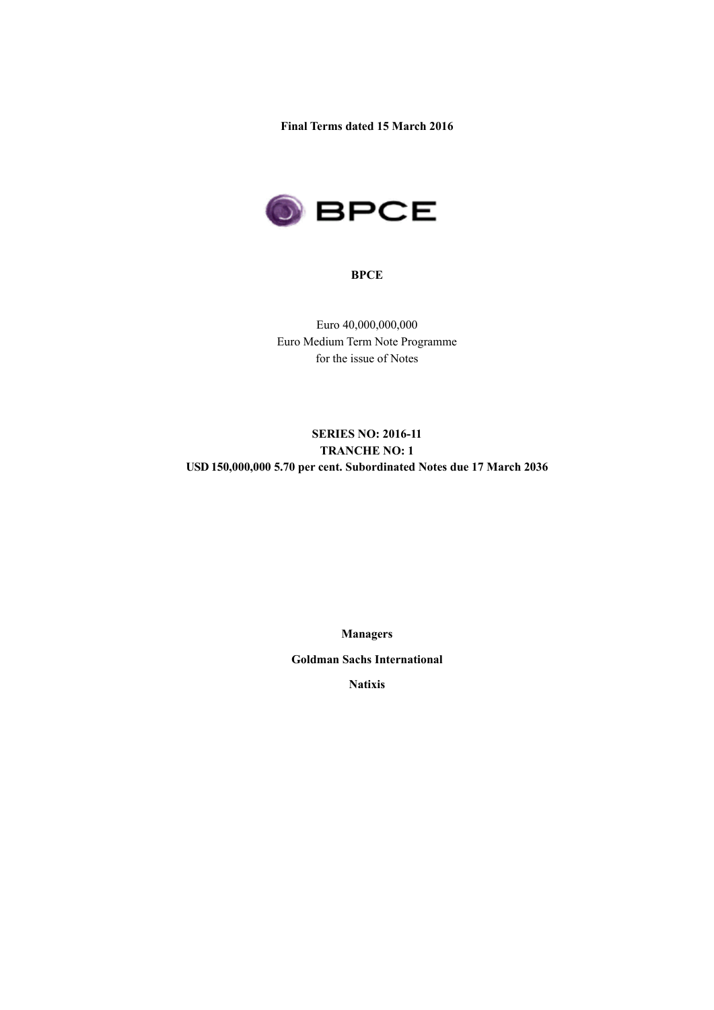**Final Terms dated 15 March 2016**



## **BPCE**

Euro 40,000,000,000 Euro Medium Term Note Programme for the issue of Notes

# **SERIES NO: 2016-11 TRANCHE NO: 1 USD 150,000,000 5.70 per cent. Subordinated Notes due 17 March 2036**

**Managers**

**Goldman Sachs International**

**Natixis**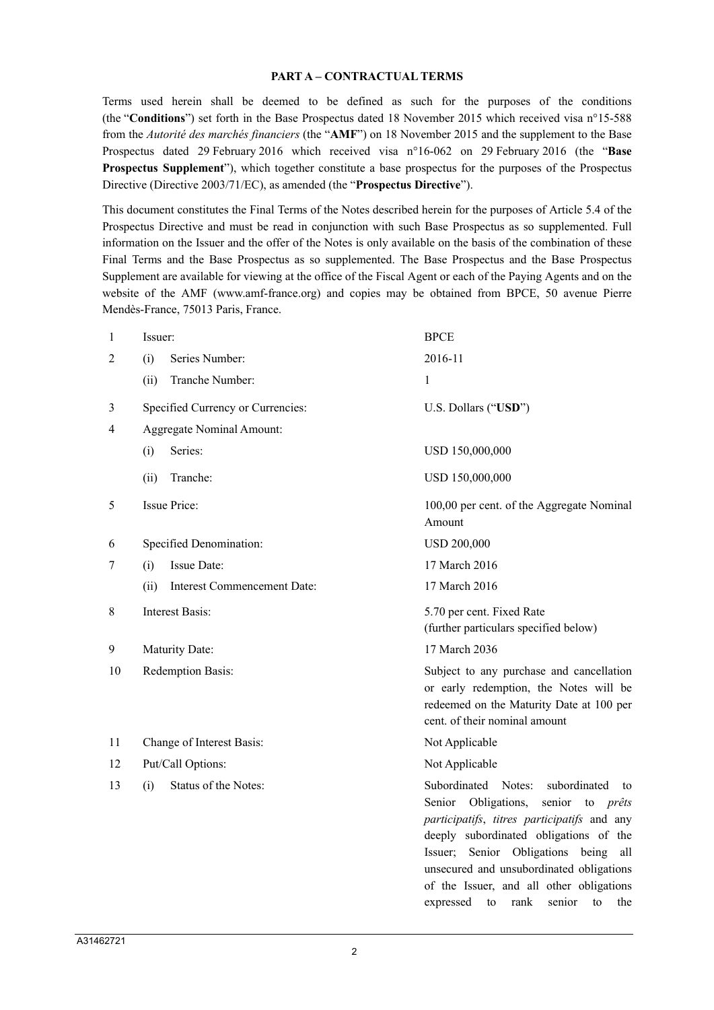#### **PART A – CONTRACTUAL TERMS**

Terms used herein shall be deemed to be defined as such for the purposes of the conditions (the "**Conditions**") set forth in the Base Prospectus dated 18 November 2015 which received visa n°15-588 from the *Autorité des marchés financiers* (the "**AMF**") on 18 November 2015 and the supplement to the Base Prospectus dated 29 February 2016 which received visa n°16-062 on 29 February 2016 (the "**Base Prospectus Supplement**"), which together constitute a base prospectus for the purposes of the Prospectus Directive (Directive 2003/71/EC), as amended (the "**Prospectus Directive**").

This document constitutes the Final Terms of the Notes described herein for the purposes of Article 5.4 of the Prospectus Directive and must be read in conjunction with such Base Prospectus as so supplemented. Full information on the Issuer and the offer of the Notes is only available on the basis of the combination of these Final Terms and the Base Prospectus as so supplemented. The Base Prospectus and the Base Prospectus Supplement are available for viewing at the office of the Fiscal Agent or each of the Paying Agents and on the website of the AMF (www.amf-france.org) and copies may be obtained from BPCE, 50 avenue Pierre Mendès-France, 75013 Paris, France.

| 1  | Issuer:                             | <b>BPCE</b>                                                                                                                                                                                                                                                                                                                                                                 |  |  |  |
|----|-------------------------------------|-----------------------------------------------------------------------------------------------------------------------------------------------------------------------------------------------------------------------------------------------------------------------------------------------------------------------------------------------------------------------------|--|--|--|
| 2  | Series Number:<br>(i)               | 2016-11                                                                                                                                                                                                                                                                                                                                                                     |  |  |  |
|    | Tranche Number:<br>(ii)             | $\mathbf{1}$                                                                                                                                                                                                                                                                                                                                                                |  |  |  |
| 3  | Specified Currency or Currencies:   | U.S. Dollars ("USD")                                                                                                                                                                                                                                                                                                                                                        |  |  |  |
| 4  | <b>Aggregate Nominal Amount:</b>    |                                                                                                                                                                                                                                                                                                                                                                             |  |  |  |
|    | Series:<br>(i)                      | USD 150,000,000                                                                                                                                                                                                                                                                                                                                                             |  |  |  |
|    | Tranche:<br>(ii)                    | USD 150,000,000                                                                                                                                                                                                                                                                                                                                                             |  |  |  |
| 5  | <b>Issue Price:</b>                 | 100,00 per cent. of the Aggregate Nominal<br>Amount                                                                                                                                                                                                                                                                                                                         |  |  |  |
| 6  | Specified Denomination:             | <b>USD 200,000</b>                                                                                                                                                                                                                                                                                                                                                          |  |  |  |
| 7  | <b>Issue Date:</b><br>(i)           | 17 March 2016                                                                                                                                                                                                                                                                                                                                                               |  |  |  |
|    | Interest Commencement Date:<br>(ii) | 17 March 2016                                                                                                                                                                                                                                                                                                                                                               |  |  |  |
| 8  | Interest Basis:                     | 5.70 per cent. Fixed Rate<br>(further particulars specified below)                                                                                                                                                                                                                                                                                                          |  |  |  |
| 9  | Maturity Date:                      | 17 March 2036                                                                                                                                                                                                                                                                                                                                                               |  |  |  |
| 10 | Redemption Basis:                   | Subject to any purchase and cancellation<br>or early redemption, the Notes will be<br>redeemed on the Maturity Date at 100 per<br>cent. of their nominal amount                                                                                                                                                                                                             |  |  |  |
| 11 | Change of Interest Basis:           | Not Applicable                                                                                                                                                                                                                                                                                                                                                              |  |  |  |
| 12 | Put/Call Options:                   | Not Applicable                                                                                                                                                                                                                                                                                                                                                              |  |  |  |
| 13 | Status of the Notes:<br>(i)         | Subordinated Notes:<br>subordinated<br>to<br>Senior Obligations,<br>senior<br>to <i>prêts</i><br>participatifs, titres participatifs and any<br>deeply subordinated obligations of the<br>Issuer; Senior Obligations being<br>all<br>unsecured and unsubordinated obligations<br>of the Issuer, and all other obligations<br>senior<br>expressed<br>to<br>rank<br>to<br>the |  |  |  |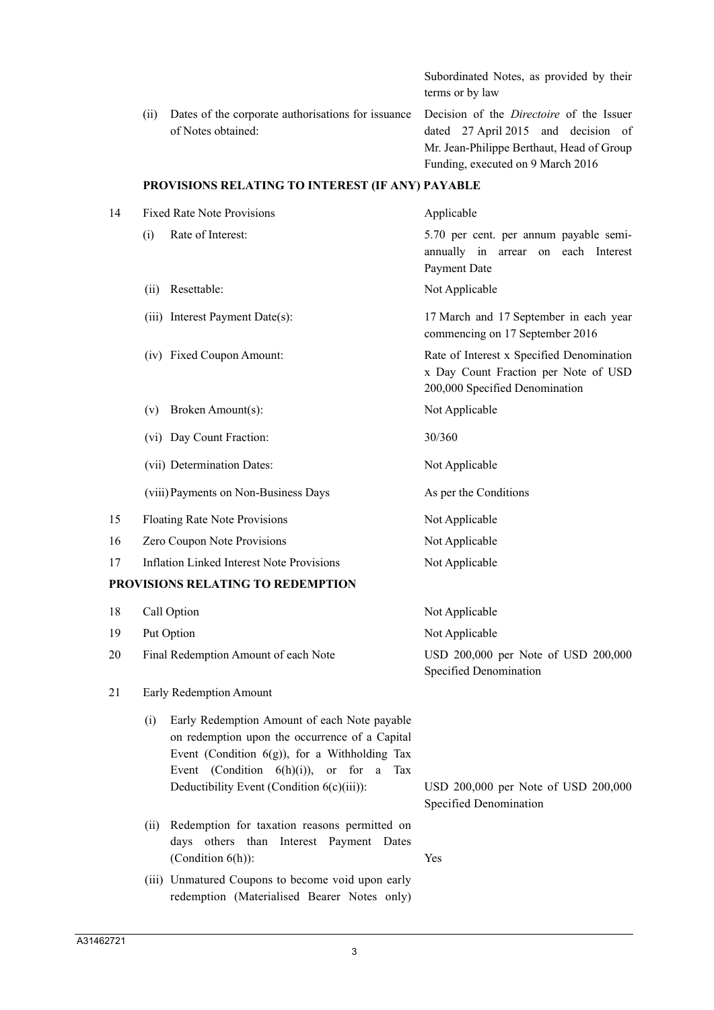|      |                                                                                                                          | Subordinated Notes, as provided by their<br>terms or by law                                                           |
|------|--------------------------------------------------------------------------------------------------------------------------|-----------------------------------------------------------------------------------------------------------------------|
| (11) | Dates of the corporate authorisations for issuance Decision of the <i>Directoire</i> of the Issuer<br>of Notes obtained: | dated 27 April 2015 and decision of<br>Mr. Jean-Philippe Berthaut, Head of Group<br>Funding, executed on 9 March 2016 |

#### **PROVISIONS RELATING TO INTEREST (IF ANY) PAYABLE**

| 14 | <b>Fixed Rate Note Provisions</b>                | Applicable                                                                                                          |  |  |
|----|--------------------------------------------------|---------------------------------------------------------------------------------------------------------------------|--|--|
|    | Rate of Interest:<br>(i)                         | 5.70 per cent. per annum payable semi-<br>annually in arrear on each Interest<br>Payment Date                       |  |  |
|    | Resettable:<br>(ii)                              | Not Applicable                                                                                                      |  |  |
|    | (iii) Interest Payment Date(s):                  | 17 March and 17 September in each year<br>commencing on 17 September 2016                                           |  |  |
|    | (iv) Fixed Coupon Amount:                        | Rate of Interest x Specified Denomination<br>x Day Count Fraction per Note of USD<br>200,000 Specified Denomination |  |  |
|    | Broken Amount(s):<br>(v)                         | Not Applicable                                                                                                      |  |  |
|    | (vi) Day Count Fraction:                         | 30/360                                                                                                              |  |  |
|    | (vii) Determination Dates:                       | Not Applicable                                                                                                      |  |  |
|    | (viii) Payments on Non-Business Days             | As per the Conditions                                                                                               |  |  |
| 15 | <b>Floating Rate Note Provisions</b>             | Not Applicable                                                                                                      |  |  |
| 16 | Zero Coupon Note Provisions                      | Not Applicable                                                                                                      |  |  |
| 17 | <b>Inflation Linked Interest Note Provisions</b> | Not Applicable                                                                                                      |  |  |
|    | PROVISIONS RELATING TO REDEMPTION                |                                                                                                                     |  |  |
| 18 | Call Option                                      | Not Applicable                                                                                                      |  |  |
| 19 | Put Option                                       | Not Applicable                                                                                                      |  |  |

20 Final Redemption Amount of each Note USD 200,000 per Note of USD 200,000

#### 21 Early Redemption Amount

- (i) Early Redemption Amount of each Note payable on redemption upon the occurrence of a Capital Event (Condition  $6(g)$ ), for a Withholding Tax Event (Condition  $6(h)(i)$ ), or for a Tax Deductibility Event (Condition 6(c)(iii)): USD 200,000 per Note of USD 200,000
- (ii) Redemption for taxation reasons permitted on days others than Interest Payment Dates (Condition 6(h)): Yes
- (iii) Unmatured Coupons to become void upon early redemption (Materialised Bearer Notes only)

Specified Denomination

Specified Denomination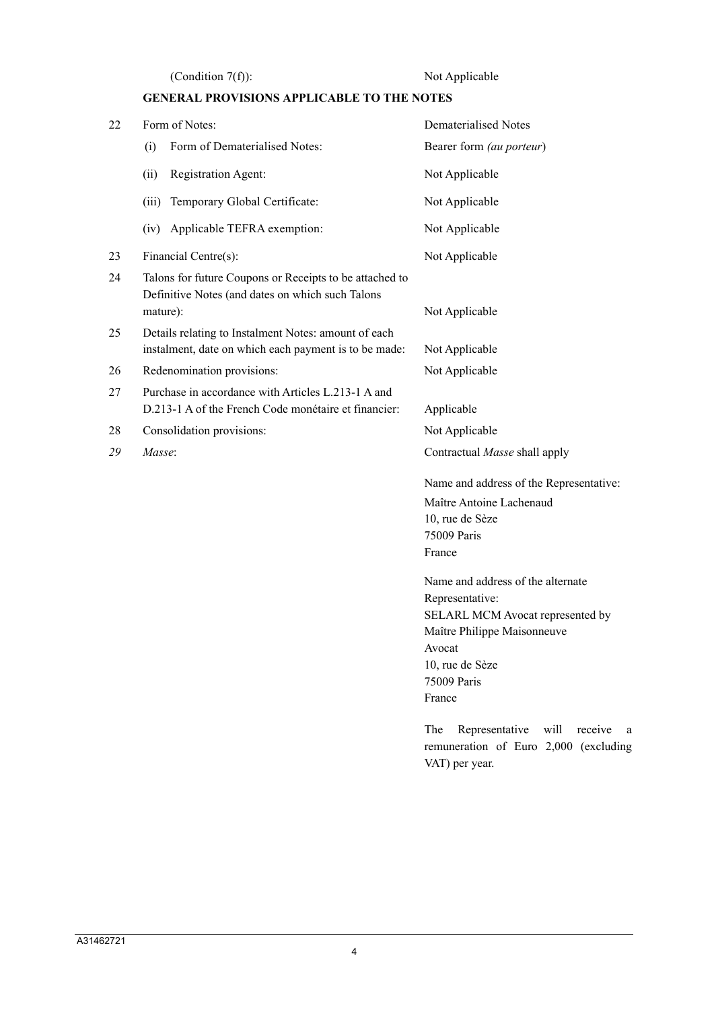(Condition 7(f)): Not Applicable

# **GENERAL PROVISIONS APPLICABLE TO THE NOTES**

| 22 | Form of Notes:                                                                                                                            | Dematerialised Notes                                                                                                                                                                                                                                                                      |  |  |  |  |  |
|----|-------------------------------------------------------------------------------------------------------------------------------------------|-------------------------------------------------------------------------------------------------------------------------------------------------------------------------------------------------------------------------------------------------------------------------------------------|--|--|--|--|--|
|    | Form of Dematerialised Notes:<br>(i)                                                                                                      | Bearer form (au porteur)                                                                                                                                                                                                                                                                  |  |  |  |  |  |
|    | Registration Agent:<br>(ii)                                                                                                               | Not Applicable                                                                                                                                                                                                                                                                            |  |  |  |  |  |
|    | Temporary Global Certificate:<br>(iii)                                                                                                    | Not Applicable                                                                                                                                                                                                                                                                            |  |  |  |  |  |
|    | Applicable TEFRA exemption:<br>(iv)                                                                                                       | Not Applicable                                                                                                                                                                                                                                                                            |  |  |  |  |  |
| 23 | Financial Centre(s):                                                                                                                      | Not Applicable                                                                                                                                                                                                                                                                            |  |  |  |  |  |
| 24 | Talons for future Coupons or Receipts to be attached to<br>Definitive Notes (and dates on which such Talons<br>mature):<br>Not Applicable |                                                                                                                                                                                                                                                                                           |  |  |  |  |  |
| 25 | Details relating to Instalment Notes: amount of each<br>instalment, date on which each payment is to be made:<br>Not Applicable           |                                                                                                                                                                                                                                                                                           |  |  |  |  |  |
| 26 | Redenomination provisions:                                                                                                                | Not Applicable                                                                                                                                                                                                                                                                            |  |  |  |  |  |
| 27 | Purchase in accordance with Articles L.213-1 A and<br>D.213-1 A of the French Code monétaire et financier:                                | Applicable                                                                                                                                                                                                                                                                                |  |  |  |  |  |
| 28 | Consolidation provisions:                                                                                                                 | Not Applicable                                                                                                                                                                                                                                                                            |  |  |  |  |  |
| 29 | Masse:                                                                                                                                    | Contractual Masse shall apply                                                                                                                                                                                                                                                             |  |  |  |  |  |
|    |                                                                                                                                           | Name and address of the Representative:<br>Maître Antoine Lachenaud<br>10, rue de Sèze<br>75009 Paris<br>France                                                                                                                                                                           |  |  |  |  |  |
|    |                                                                                                                                           | Name and address of the alternate<br>Representative:<br>SELARL MCM Avocat represented by<br>Maître Philippe Maisonneuve<br>Avocat<br>10, rue de Sèze<br>75009 Paris<br>France<br>Representative<br>The<br>will<br>receive<br>a<br>remuneration of Euro 2,000 (excluding<br>VAT) per year. |  |  |  |  |  |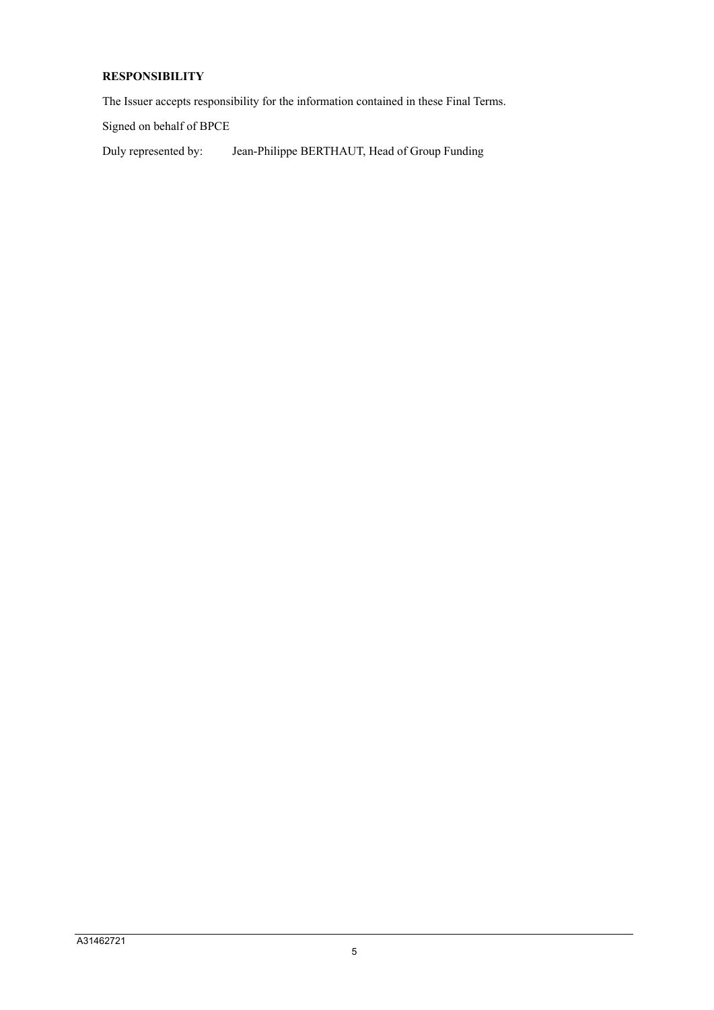# **RESPONSIBILITY**

The Issuer accepts responsibility for the information contained in these Final Terms.

Signed on behalf of BPCE

Duly represented by: Jean-Philippe BERTHAUT, Head of Group Funding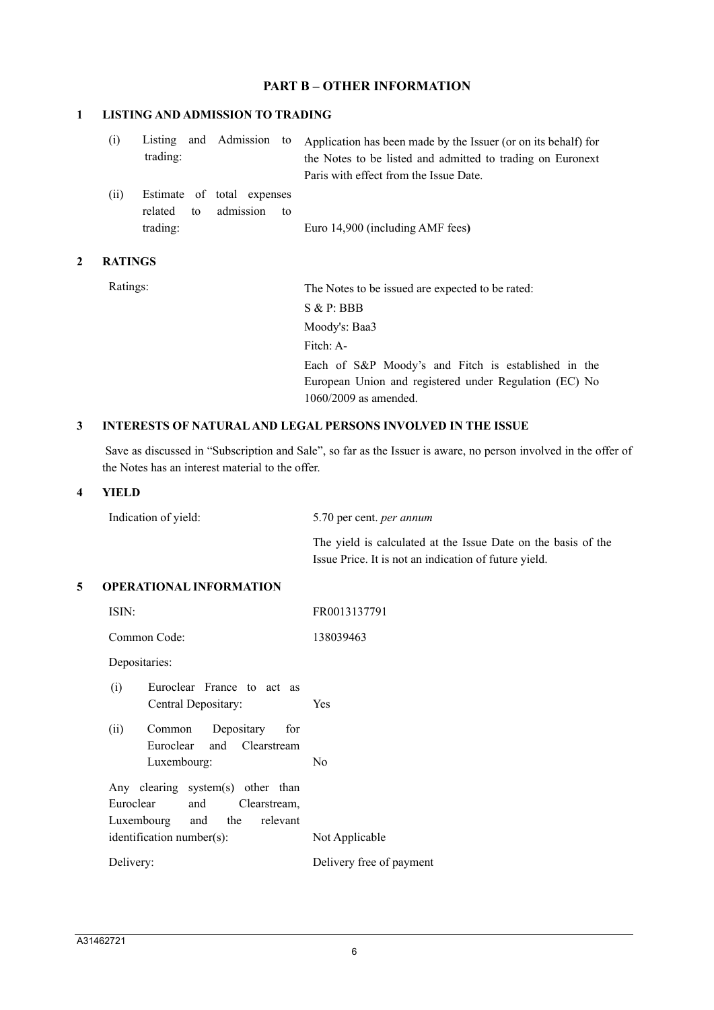# **PART B – OTHER INFORMATION**

#### **1 LISTING AND ADMISSION TO TRADING**

| (i) |          |  | Listing and Admission to Application has been made by the Issuer (or on its behalf) for |
|-----|----------|--|-----------------------------------------------------------------------------------------|
|     | trading: |  | the Notes to be listed and admitted to trading on Euronext                              |
|     |          |  | Paris with effect from the Issue Date.                                                  |
|     |          |  |                                                                                         |

(ii) Estimate of total expenses related to admission to trading: Euro 14,900 (including AMF fees**)**

### **2 RATINGS**

Ratings: The Notes to be issued are expected to be rated: S & P: BBB Moody's: Baa3 Fitch: A-Each of S&P Moody's and Fitch is established in the European Union and registered under Regulation (EC) No 1060/2009 as amended.

### **3 INTERESTS OF NATURALAND LEGAL PERSONS INVOLVED IN THE ISSUE**

Save as discussed in "Subscription and Sale", so far as the Issuer is aware, no person involved in the offer of the Notes has an interest material to the offer.

### **4 YIELD**

The yield is calculated at the Issue Date on the basis of the Issue Price. It is not an indication of future yield.

### **5 OPERATIONAL INFORMATION**

| ISIN:                                                                                          | FR0013137791             |
|------------------------------------------------------------------------------------------------|--------------------------|
| Common Code:                                                                                   | 138039463                |
| Depositaries:                                                                                  |                          |
| (i)<br>Euroclear France to act as<br>Central Depositary:                                       | <b>Yes</b>               |
| (ii)<br>Common Depositary<br>for<br>Euroclear and Clearstream<br>Luxembourg:                   | No                       |
| Any clearing system(s) other than<br>Euroclear and Clearstream,<br>Luxembourg and the relevant |                          |
| identification number(s):                                                                      | Not Applicable           |
| Delivery:                                                                                      | Delivery free of payment |